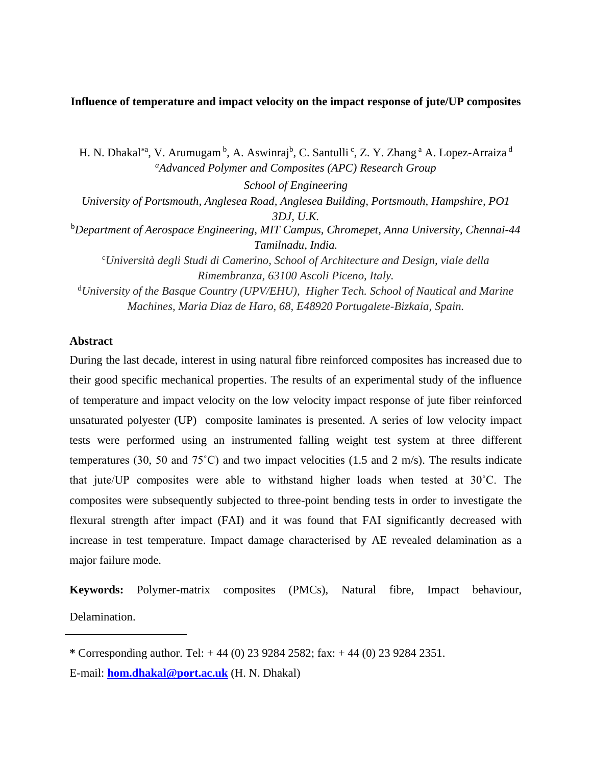# **Influence of temperature and impact velocity on the impact response of jute/UP composites**

H. N. Dhakal\*ª, V. Arumugam <sup>b</sup>, A. Aswinraj<sup>b</sup>, C. Santulli <sup>c</sup>, Z. Y. Zhang <sup>a</sup> A. Lopez-Arraiza <sup>d</sup> *<sup>a</sup>Advanced Polymer and Composites (APC) Research Group School of Engineering University of Portsmouth, Anglesea Road, Anglesea Building, Portsmouth, Hampshire, PO1 3DJ, U.K.* <sup>b</sup>*Department of Aerospace Engineering, MIT Campus, Chromepet, Anna University, Chennai-44 Tamilnadu, India.* <sup>c</sup>*Università degli Studi di Camerino, School of Architecture and Design, viale della Rimembranza, 63100 Ascoli Piceno, Italy.* <sup>d</sup>*University of the Basque Country (UPV/EHU), Higher Tech. School of Nautical and Marine Machines, Maria Diaz de Haro, 68, E48920 Portugalete-Bizkaia, Spain.*

# **Abstract**

During the last decade, interest in using natural fibre reinforced composites has increased due to their good specific mechanical properties. The results of an experimental study of the influence of temperature and impact velocity on the low velocity impact response of jute fiber reinforced unsaturated polyester (UP) composite laminates is presented. A series of low velocity impact tests were performed using an instrumented falling weight test system at three different temperatures (30, 50 and 75˚C) and two impact velocities (1.5 and 2 m/s). The results indicate that jute/UP composites were able to withstand higher loads when tested at 30˚C. The composites were subsequently subjected to three-point bending tests in order to investigate the flexural strength after impact (FAI) and it was found that FAI significantly decreased with increase in test temperature. Impact damage characterised by AE revealed delamination as a major failure mode.

**Keywords:** Polymer-matrix composites (PMCs), Natural fibre, Impact behaviour, Delamination.

**<sup>\*</sup>** Corresponding author. Tel: + 44 (0) 23 9284 2582; fax: + 44 (0) 23 9284 2351.

E-mail: **[hom.dhakal@port.ac.uk](mailto:hom.dhakal@port.ac.uk)** (H. N. Dhakal)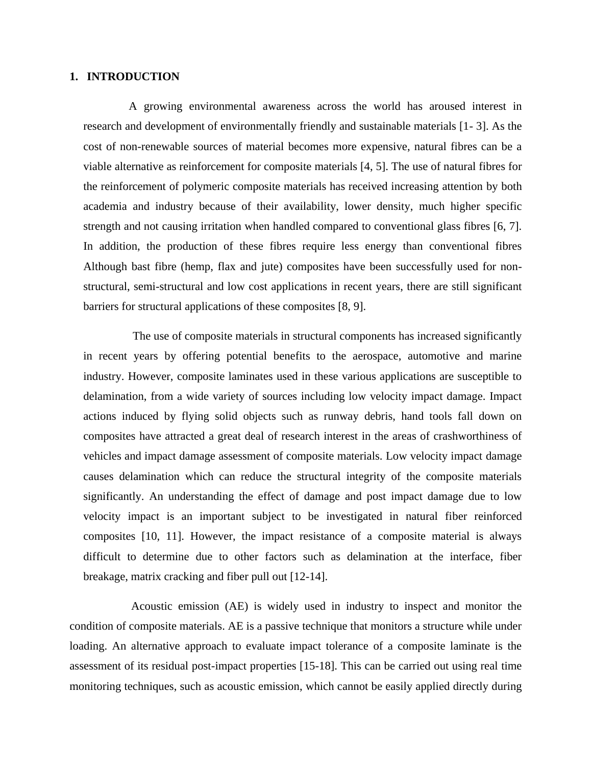# **1. INTRODUCTION**

A growing environmental awareness across the world has aroused interest in research and development of environmentally friendly and sustainable materials [1- 3]. As the cost of non-renewable sources of material becomes more expensive, natural fibres can be a viable alternative as reinforcement for composite materials [4, 5]. The use of natural fibres for the reinforcement of polymeric composite materials has received increasing attention by both academia and industry because of their availability, lower density, much higher specific strength and not causing irritation when handled compared to conventional glass fibres [6, 7]. In addition, the production of these fibres require less energy than conventional fibres Although bast fibre (hemp, flax and jute) composites have been successfully used for nonstructural, semi-structural and low cost applications in recent years, there are still significant barriers for structural applications of these composites [8, 9].

The use of composite materials in structural components has increased significantly in recent years by offering potential benefits to the aerospace, automotive and marine industry. However, composite laminates used in these various applications are susceptible to delamination, from a wide variety of sources including low velocity impact damage. Impact actions induced by flying solid objects such as runway debris, hand tools fall down on composites have attracted a great deal of research interest in the areas of crashworthiness of vehicles and impact damage assessment of composite materials. Low velocity impact damage causes delamination which can reduce the structural integrity of the composite materials significantly. An understanding the effect of damage and post impact damage due to low velocity impact is an important subject to be investigated in natural fiber reinforced composites [10, 11]. However, the impact resistance of a composite material is always difficult to determine due to other factors such as delamination at the interface, fiber breakage, matrix cracking and fiber pull out [12-14].

Acoustic emission (AE) is widely used in industry to inspect and monitor the condition of composite materials. AE is a passive technique that monitors a structure while under loading. An alternative approach to evaluate impact tolerance of a composite laminate is the assessment of its residual post-impact properties [15-18]. This can be carried out using real time monitoring techniques, such as acoustic emission, which cannot be easily applied directly during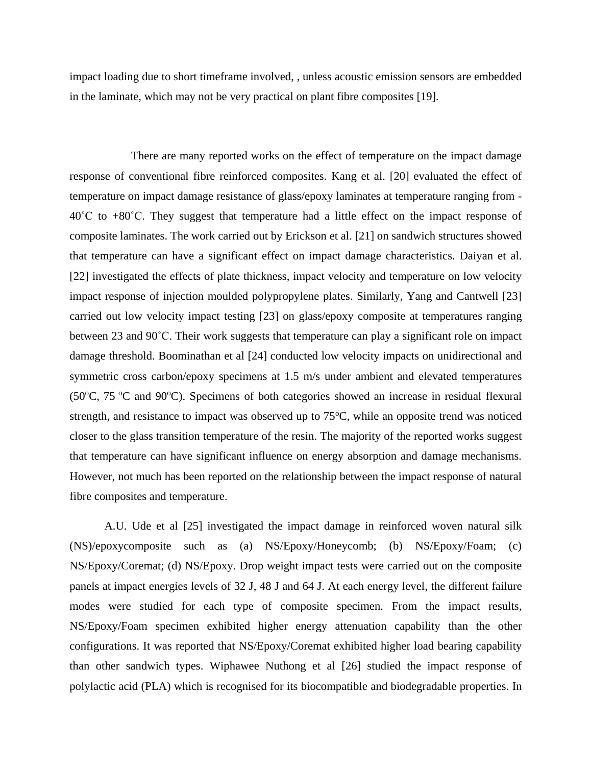impact loading due to short timeframe involved, , unless acoustic emission sensors are embedded in the laminate, which may not be very practical on plant fibre composites [19].

There are many reported works on the effect of temperature on the impact damage response of conventional fibre reinforced composites. Kang et al. [20] evaluated the effect of temperature on impact damage resistance of glass/epoxy laminates at temperature ranging from -  $40^{\circ}$ C to  $+80^{\circ}$ C. They suggest that temperature had a little effect on the impact response of composite laminates. The work carried out by Erickson et al. [21] on sandwich structures showed that temperature can have a significant effect on impact damage characteristics. Daiyan et al. [22] investigated the effects of plate thickness, impact velocity and temperature on low velocity impact response of injection moulded polypropylene plates. Similarly, Yang and Cantwell [23] carried out low velocity impact testing [23] on glass/epoxy composite at temperatures ranging between 23 and 90˚C. Their work suggests that temperature can play a significant role on impact damage threshold. Boominathan et al [24] conducted low velocity impacts on unidirectional and symmetric cross carbon/epoxy specimens at 1.5 m/s under ambient and elevated temperatures (50 $^{\circ}$ C, 75 $^{\circ}$ C and 90 $^{\circ}$ C). Specimens of both categories showed an increase in residual flexural strength, and resistance to impact was observed up to  $75^{\circ}$ C, while an opposite trend was noticed closer to the glass transition temperature of the resin. The majority of the reported works suggest that temperature can have significant influence on energy absorption and damage mechanisms. However, not much has been reported on the relationship between the impact response of natural fibre composites and temperature.

A.U. Ude et al [25] investigated the impact damage in reinforced woven natural silk (NS)/epoxycomposite such as (a) NS/Epoxy/Honeycomb; (b) NS/Epoxy/Foam; (c) NS/Epoxy/Coremat; (d) NS/Epoxy. Drop weight impact tests were carried out on the composite panels at impact energies levels of 32 J, 48 J and 64 J. At each energy level, the different failure modes were studied for each type of composite specimen. From the impact results, NS/Epoxy/Foam specimen exhibited higher energy attenuation capability than the other configurations. It was reported that NS/Epoxy/Coremat exhibited higher load bearing capability than other sandwich types. Wiphawee Nuthong et al [26] studied the impact response of polylactic acid (PLA) which is recognised for its biocompatible and biodegradable properties. In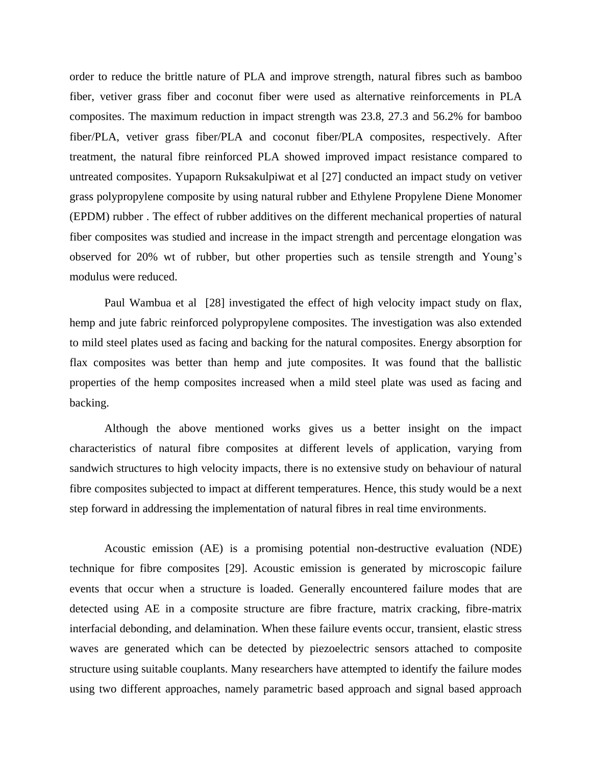order to reduce the brittle nature of PLA and improve strength, natural fibres such as bamboo fiber, vetiver grass fiber and coconut fiber were used as alternative reinforcements in PLA composites. The maximum reduction in impact strength was 23.8, 27.3 and 56.2% for bamboo fiber/PLA, vetiver grass fiber/PLA and coconut fiber/PLA composites, respectively. After treatment, the natural fibre reinforced PLA showed improved impact resistance compared to untreated composites. Yupaporn Ruksakulpiwat et al [27] conducted an impact study on vetiver grass polypropylene composite by using natural rubber and Ethylene Propylene Diene Monomer (EPDM) rubber . The effect of rubber additives on the different mechanical properties of natural fiber composites was studied and increase in the impact strength and percentage elongation was observed for 20% wt of rubber, but other properties such as tensile strength and Young's modulus were reduced.

 Paul Wambua et al [28] investigated the effect of high velocity impact study on flax, hemp and jute fabric reinforced polypropylene composites. The investigation was also extended to mild steel plates used as facing and backing for the natural composites. Energy absorption for flax composites was better than hemp and jute composites. It was found that the ballistic properties of the hemp composites increased when a mild steel plate was used as facing and backing.

Although the above mentioned works gives us a better insight on the impact characteristics of natural fibre composites at different levels of application, varying from sandwich structures to high velocity impacts, there is no extensive study on behaviour of natural fibre composites subjected to impact at different temperatures. Hence, this study would be a next step forward in addressing the implementation of natural fibres in real time environments.

Acoustic emission (AE) is a promising potential non-destructive evaluation (NDE) technique for fibre composites [29]. Acoustic emission is generated by microscopic failure events that occur when a structure is loaded. Generally encountered failure modes that are detected using AE in a composite structure are fibre fracture, matrix cracking, fibre-matrix interfacial debonding, and delamination. When these failure events occur, transient, elastic stress waves are generated which can be detected by piezoelectric sensors attached to composite structure using suitable couplants. Many researchers have attempted to identify the failure modes using two different approaches, namely parametric based approach and signal based approach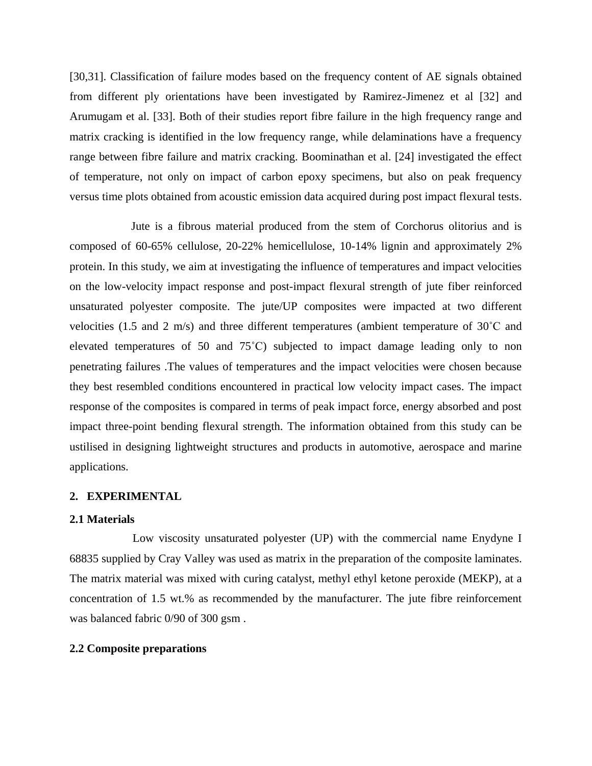[30,31]. Classification of failure modes based on the frequency content of AE signals obtained from different ply orientations have been investigated by Ramirez-Jimenez et al [32] and Arumugam et al. [33]. Both of their studies report fibre failure in the high frequency range and matrix cracking is identified in the low frequency range, while delaminations have a frequency range between fibre failure and matrix cracking. Boominathan et al. [24] investigated the effect of temperature, not only on impact of carbon epoxy specimens, but also on peak frequency versus time plots obtained from acoustic emission data acquired during post impact flexural tests.

Jute is a fibrous material produced from the stem of Corchorus olitorius and is composed of 60-65% cellulose, 20-22% hemicellulose, 10-14% lignin and approximately 2% protein. In this study, we aim at investigating the influence of temperatures and impact velocities on the low-velocity impact response and post-impact flexural strength of jute fiber reinforced unsaturated polyester composite. The jute/UP composites were impacted at two different velocities (1.5 and 2 m/s) and three different temperatures (ambient temperature of 30˚C and elevated temperatures of 50 and 75˚C) subjected to impact damage leading only to non penetrating failures .The values of temperatures and the impact velocities were chosen because they best resembled conditions encountered in practical low velocity impact cases. The impact response of the composites is compared in terms of peak impact force, energy absorbed and post impact three-point bending flexural strength. The information obtained from this study can be ustilised in designing lightweight structures and products in automotive, aerospace and marine applications.

# **2. EXPERIMENTAL**

#### **2.1 Materials**

Low viscosity unsaturated polyester (UP) with the commercial name Enydyne I 68835 supplied by Cray Valley was used as matrix in the preparation of the composite laminates. The matrix material was mixed with curing catalyst, methyl ethyl ketone peroxide (MEKP), at a concentration of 1.5 wt.% as recommended by the manufacturer. The jute fibre reinforcement was balanced fabric 0/90 of 300 gsm .

## **2.2 Composite preparations**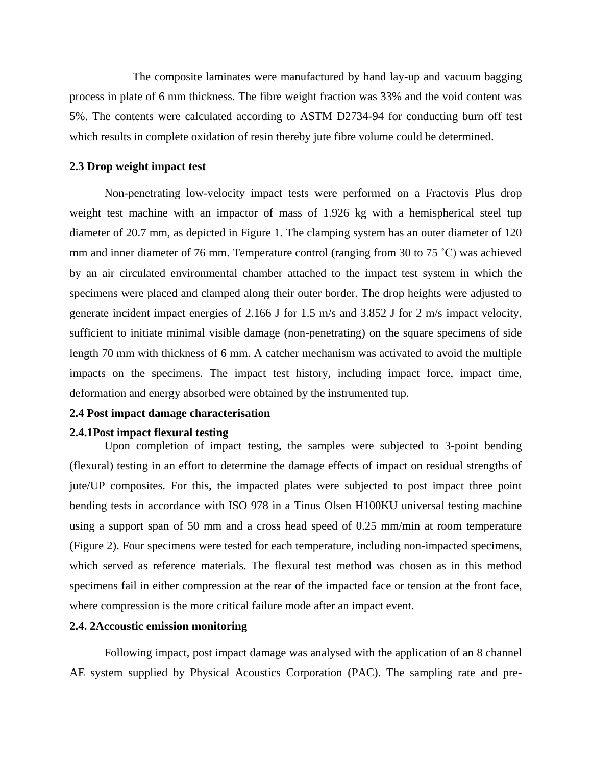The composite laminates were manufactured by hand lay-up and vacuum bagging process in plate of 6 mm thickness. The fibre weight fraction was 33% and the void content was 5%. The contents were calculated according to ASTM D2734-94 for conducting burn off test which results in complete oxidation of resin thereby jute fibre volume could be determined.

## **2.3 Drop weight impact test**

Non-penetrating low-velocity impact tests were performed on a Fractovis Plus drop weight test machine with an impactor of mass of 1.926 kg with a hemispherical steel tup diameter of 20.7 mm, as depicted in Figure 1. The clamping system has an outer diameter of 120 mm and inner diameter of 76 mm. Temperature control (ranging from 30 to 75 ˚C) was achieved by an air circulated environmental chamber attached to the impact test system in which the specimens were placed and clamped along their outer border. The drop heights were adjusted to generate incident impact energies of 2.166 J for 1.5 m/s and 3.852 J for 2 m/s impact velocity, sufficient to initiate minimal visible damage (non-penetrating) on the square specimens of side length 70 mm with thickness of 6 mm. A catcher mechanism was activated to avoid the multiple impacts on the specimens. The impact test history, including impact force, impact time, deformation and energy absorbed were obtained by the instrumented tup.

# **2.4 Post impact damage characterisation**

#### **2.4.1Post impact flexural testing**

Upon completion of impact testing, the samples were subjected to 3-point bending (flexural) testing in an effort to determine the damage effects of impact on residual strengths of jute/UP composites. For this, the impacted plates were subjected to post impact three point bending tests in accordance with ISO 978 in a Tinus Olsen H100KU universal testing machine using a support span of 50 mm and a cross head speed of 0.25 mm/min at room temperature (Figure 2). Four specimens were tested for each temperature, including non-impacted specimens, which served as reference materials. The flexural test method was chosen as in this method specimens fail in either compression at the rear of the impacted face or tension at the front face, where compression is the more critical failure mode after an impact event.

#### **2.4. 2Accoustic emission monitoring**

Following impact, post impact damage was analysed with the application of an 8 channel AE system supplied by Physical Acoustics Corporation (PAC). The sampling rate and pre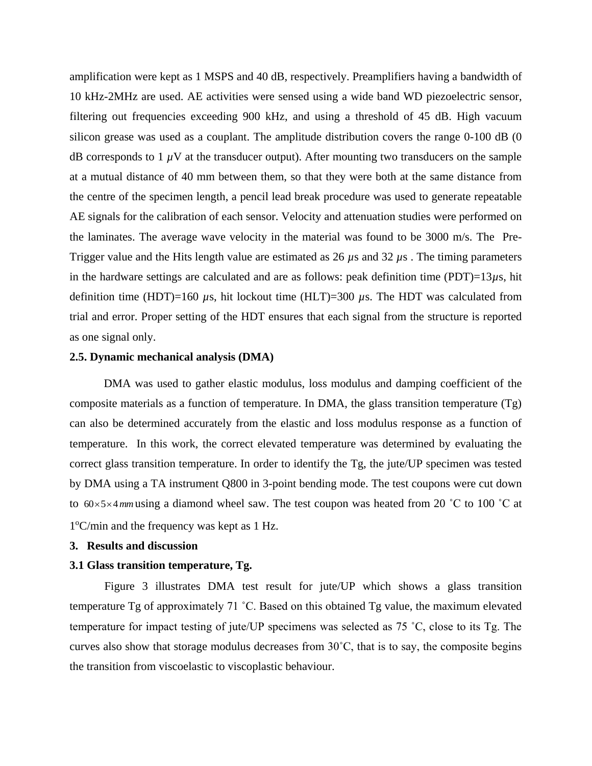amplification were kept as 1 MSPS and 40 dB, respectively. Preamplifiers having a bandwidth of 10 kHz-2MHz are used. AE activities were sensed using a wide band WD piezoelectric sensor, filtering out frequencies exceeding 900 kHz, and using a threshold of 45 dB. High vacuum silicon grease was used as a couplant. The amplitude distribution covers the range 0-100 dB (0) dB corresponds to  $1 \mu$ V at the transducer output). After mounting two transducers on the sample at a mutual distance of 40 mm between them, so that they were both at the same distance from the centre of the specimen length, a pencil lead break procedure was used to generate repeatable AE signals for the calibration of each sensor. Velocity and attenuation studies were performed on the laminates. The average wave velocity in the material was found to be 3000 m/s. The Pre-Trigger value and the Hits length value are estimated as 26 *µ*s and 32 *µ*s . The timing parameters in the hardware settings are calculated and are as follows: peak definition time (PDT)=13*µ*s, hit definition time (HDT)=160  $\mu$ s, hit lockout time (HLT)=300  $\mu$ s. The HDT was calculated from trial and error. Proper setting of the HDT ensures that each signal from the structure is reported as one signal only.

#### **2.5. Dynamic mechanical analysis (DMA)**

DMA was used to gather elastic modulus, loss modulus and damping coefficient of the composite materials as a function of temperature. In DMA, the glass transition temperature (Tg) can also be determined accurately from the elastic and loss modulus response as a function of temperature. In this work, the correct elevated temperature was determined by evaluating the correct glass transition temperature. In order to identify the Tg, the jute/UP specimen was tested by DMA using a TA instrument Q800 in 3-point bending mode. The test coupons were cut down to  $60 \times 5 \times 4$  mm using a diamond wheel saw. The test coupon was heated from 20 °C to 100 °C at 1 <sup>o</sup>C/min and the frequency was kept as 1 Hz.

#### **3. Results and discussion**

## **3.1 Glass transition temperature, Tg.**

Figure 3 illustrates DMA test result for jute/UP which shows a glass transition temperature Tg of approximately 71 ˚C. Based on this obtained Tg value, the maximum elevated temperature for impact testing of jute/UP specimens was selected as 75 ˚C, close to its Tg. The curves also show that storage modulus decreases from 30˚C, that is to say, the composite begins the transition from viscoelastic to viscoplastic behaviour.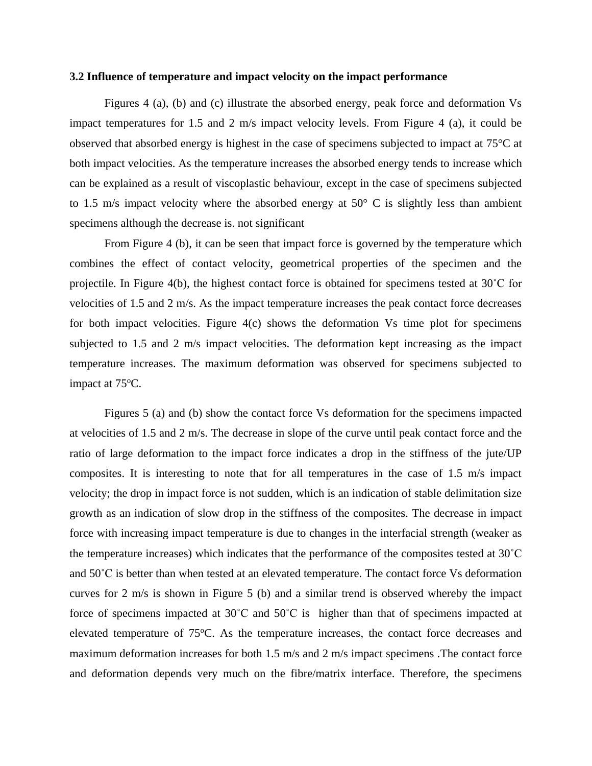#### **3.2 Influence of temperature and impact velocity on the impact performance**

Figures 4 (a), (b) and (c) illustrate the absorbed energy, peak force and deformation Vs impact temperatures for 1.5 and 2 m/s impact velocity levels. From Figure 4 (a), it could be observed that absorbed energy is highest in the case of specimens subjected to impact at 75°C at both impact velocities. As the temperature increases the absorbed energy tends to increase which can be explained as a result of viscoplastic behaviour, except in the case of specimens subjected to 1.5 m/s impact velocity where the absorbed energy at  $50^{\circ}$  C is slightly less than ambient specimens although the decrease is. not significant

From Figure 4 (b), it can be seen that impact force is governed by the temperature which combines the effect of contact velocity, geometrical properties of the specimen and the projectile. In Figure 4(b), the highest contact force is obtained for specimens tested at 30˚C for velocities of 1.5 and 2 m/s. As the impact temperature increases the peak contact force decreases for both impact velocities. Figure  $4(c)$  shows the deformation Vs time plot for specimens subjected to 1.5 and 2 m/s impact velocities. The deformation kept increasing as the impact temperature increases. The maximum deformation was observed for specimens subjected to impact at  $75^{\circ}$ C.

Figures 5 (a) and (b) show the contact force Vs deformation for the specimens impacted at velocities of 1.5 and 2 m/s. The decrease in slope of the curve until peak contact force and the ratio of large deformation to the impact force indicates a drop in the stiffness of the jute/UP composites. It is interesting to note that for all temperatures in the case of 1.5 m/s impact velocity; the drop in impact force is not sudden, which is an indication of stable delimitation size growth as an indication of slow drop in the stiffness of the composites. The decrease in impact force with increasing impact temperature is due to changes in the interfacial strength (weaker as the temperature increases) which indicates that the performance of the composites tested at 30˚C and 50˚C is better than when tested at an elevated temperature. The contact force Vs deformation curves for 2 m/s is shown in Figure 5 (b) and a similar trend is observed whereby the impact force of specimens impacted at 30˚C and 50˚C is higher than that of specimens impacted at elevated temperature of 75<sup>o</sup>C. As the temperature increases, the contact force decreases and maximum deformation increases for both 1.5 m/s and 2 m/s impact specimens .The contact force and deformation depends very much on the fibre/matrix interface. Therefore, the specimens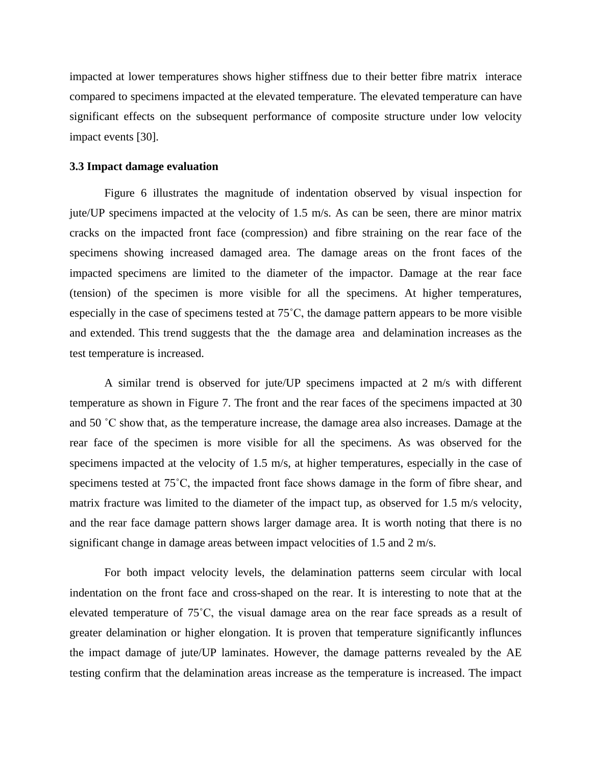impacted at lower temperatures shows higher stiffness due to their better fibre matrix interace compared to specimens impacted at the elevated temperature. The elevated temperature can have significant effects on the subsequent performance of composite structure under low velocity impact events [30].

### **3.3 Impact damage evaluation**

Figure 6 illustrates the magnitude of indentation observed by visual inspection for jute/UP specimens impacted at the velocity of 1.5 m/s. As can be seen, there are minor matrix cracks on the impacted front face (compression) and fibre straining on the rear face of the specimens showing increased damaged area. The damage areas on the front faces of the impacted specimens are limited to the diameter of the impactor. Damage at the rear face (tension) of the specimen is more visible for all the specimens. At higher temperatures, especially in the case of specimens tested at 75˚C, the damage pattern appears to be more visible and extended. This trend suggests that the the damage area and delamination increases as the test temperature is increased.

A similar trend is observed for jute/UP specimens impacted at 2 m/s with different temperature as shown in Figure 7. The front and the rear faces of the specimens impacted at 30 and 50 ˚C show that, as the temperature increase, the damage area also increases. Damage at the rear face of the specimen is more visible for all the specimens. As was observed for the specimens impacted at the velocity of 1.5 m/s, at higher temperatures, especially in the case of specimens tested at 75˚C, the impacted front face shows damage in the form of fibre shear, and matrix fracture was limited to the diameter of the impact tup, as observed for 1.5 m/s velocity, and the rear face damage pattern shows larger damage area. It is worth noting that there is no significant change in damage areas between impact velocities of 1.5 and 2 m/s.

For both impact velocity levels, the delamination patterns seem circular with local indentation on the front face and cross-shaped on the rear. It is interesting to note that at the elevated temperature of 75˚C, the visual damage area on the rear face spreads as a result of greater delamination or higher elongation. It is proven that temperature significantly influnces the impact damage of jute/UP laminates. However, the damage patterns revealed by the AE testing confirm that the delamination areas increase as the temperature is increased. The impact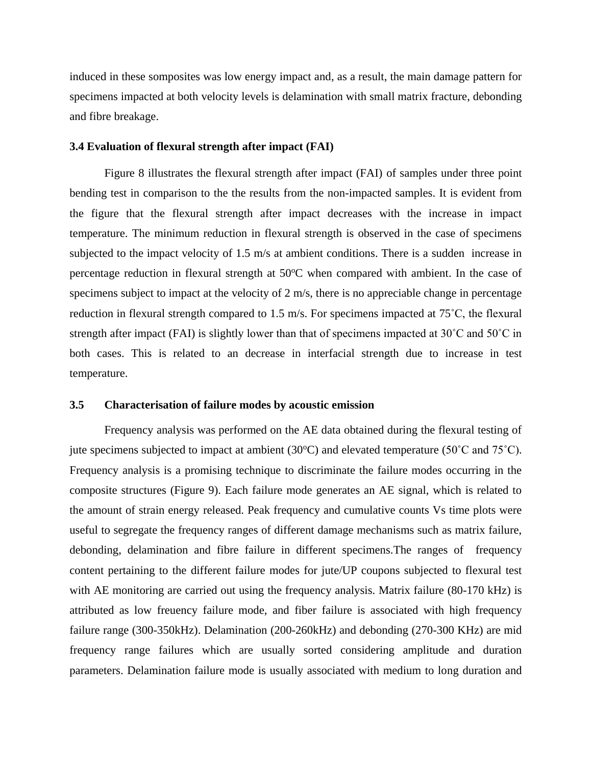induced in these somposites was low energy impact and, as a result, the main damage pattern for specimens impacted at both velocity levels is delamination with small matrix fracture, debonding and fibre breakage.

## **3.4 Evaluation of flexural strength after impact (FAI)**

Figure 8 illustrates the flexural strength after impact (FAI) of samples under three point bending test in comparison to the the results from the non-impacted samples. It is evident from the figure that the flexural strength after impact decreases with the increase in impact temperature. The minimum reduction in flexural strength is observed in the case of specimens subjected to the impact velocity of 1.5 m/s at ambient conditions. There is a sudden increase in percentage reduction in flexural strength at  $50^{\circ}$ C when compared with ambient. In the case of specimens subject to impact at the velocity of 2 m/s, there is no appreciable change in percentage reduction in flexural strength compared to 1.5 m/s. For specimens impacted at 75˚C, the flexural strength after impact (FAI) is slightly lower than that of specimens impacted at 30˚C and 50˚C in both cases. This is related to an decrease in interfacial strength due to increase in test temperature.

# **3.5 Characterisation of failure modes by acoustic emission**

Frequency analysis was performed on the AE data obtained during the flexural testing of jute specimens subjected to impact at ambient (30 $^{\circ}$ C) and elevated temperature (50 $^{\circ}$ C and 75 $^{\circ}$ C). Frequency analysis is a promising technique to discriminate the failure modes occurring in the composite structures (Figure 9). Each failure mode generates an AE signal, which is related to the amount of strain energy released. Peak frequency and cumulative counts Vs time plots were useful to segregate the frequency ranges of different damage mechanisms such as matrix failure, debonding, delamination and fibre failure in different specimens.The ranges of frequency content pertaining to the different failure modes for jute/UP coupons subjected to flexural test with AE monitoring are carried out using the frequency analysis. Matrix failure (80-170 kHz) is attributed as low freuency failure mode, and fiber failure is associated with high frequency failure range (300-350kHz). Delamination (200-260kHz) and debonding (270-300 KHz) are mid frequency range failures which are usually sorted considering amplitude and duration parameters. Delamination failure mode is usually associated with medium to long duration and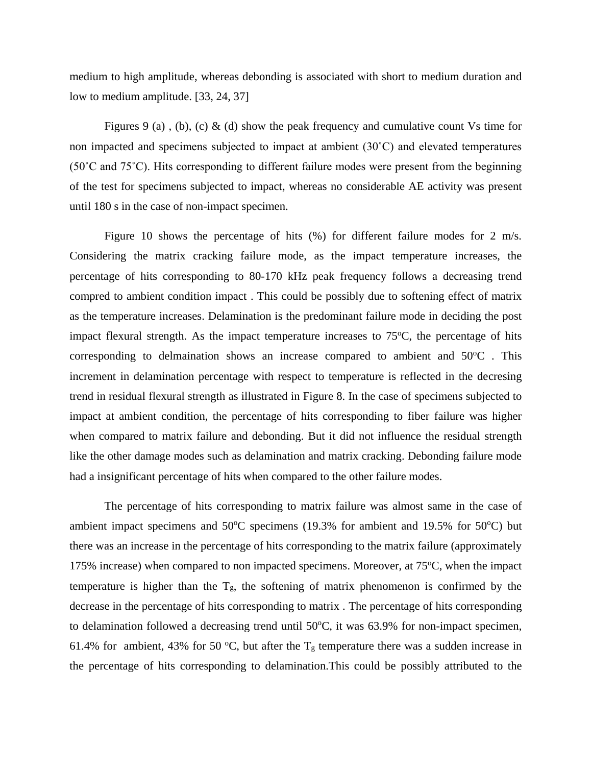medium to high amplitude, whereas debonding is associated with short to medium duration and low to medium amplitude. [33, 24, 37]

Figures 9 (a), (b), (c) & (d) show the peak frequency and cumulative count Vs time for non impacted and specimens subjected to impact at ambient (30˚C) and elevated temperatures (50˚C and 75˚C). Hits corresponding to different failure modes were present from the beginning of the test for specimens subjected to impact, whereas no considerable AE activity was present until 180 s in the case of non-impact specimen.

Figure 10 shows the percentage of hits (%) for different failure modes for 2 m/s. Considering the matrix cracking failure mode, as the impact temperature increases, the percentage of hits corresponding to 80-170 kHz peak frequency follows a decreasing trend compred to ambient condition impact . This could be possibly due to softening effect of matrix as the temperature increases. Delamination is the predominant failure mode in deciding the post impact flexural strength. As the impact temperature increases to  $75^{\circ}$ C, the percentage of hits corresponding to delmaination shows an increase compared to ambient and  $50^{\circ}$ C. This increment in delamination percentage with respect to temperature is reflected in the decresing trend in residual flexural strength as illustrated in Figure 8. In the case of specimens subjected to impact at ambient condition, the percentage of hits corresponding to fiber failure was higher when compared to matrix failure and debonding. But it did not influence the residual strength like the other damage modes such as delamination and matrix cracking. Debonding failure mode had a insignificant percentage of hits when compared to the other failure modes.

The percentage of hits corresponding to matrix failure was almost same in the case of ambient impact specimens and  $50^{\circ}$ C specimens (19.3% for ambient and 19.5% for  $50^{\circ}$ C) but there was an increase in the percentage of hits corresponding to the matrix failure (approximately 175% increase) when compared to non impacted specimens. Moreover, at  $75^{\circ}$ C, when the impact temperature is higher than the  $T_g$ , the softening of matrix phenomenon is confirmed by the decrease in the percentage of hits corresponding to matrix . The percentage of hits corresponding to delamination followed a decreasing trend until  $50^{\circ}$ C, it was 63.9% for non-impact specimen, 61.4% for ambient, 43% for 50 °C, but after the  $T_g$  temperature there was a sudden increase in the percentage of hits corresponding to delamination.This could be possibly attributed to the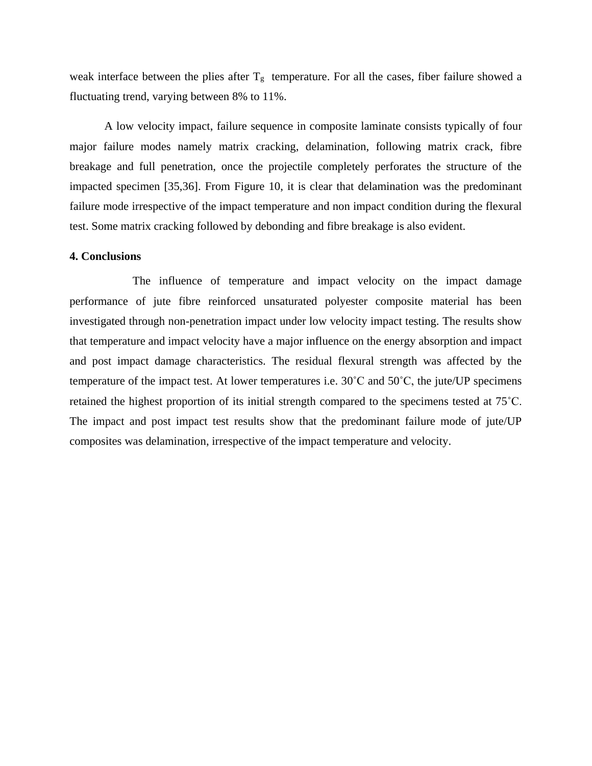weak interface between the plies after  $T_g$  temperature. For all the cases, fiber failure showed a fluctuating trend, varying between 8% to 11%.

A low velocity impact, failure sequence in composite laminate consists typically of four major failure modes namely matrix cracking, delamination, following matrix crack, fibre breakage and full penetration, once the projectile completely perforates the structure of the impacted specimen [35,36]. From Figure 10, it is clear that delamination was the predominant failure mode irrespective of the impact temperature and non impact condition during the flexural test. Some matrix cracking followed by debonding and fibre breakage is also evident.

#### **4. Conclusions**

The influence of temperature and impact velocity on the impact damage performance of jute fibre reinforced unsaturated polyester composite material has been investigated through non-penetration impact under low velocity impact testing. The results show that temperature and impact velocity have a major influence on the energy absorption and impact and post impact damage characteristics. The residual flexural strength was affected by the temperature of the impact test. At lower temperatures i.e. 30˚C and 50˚C, the jute/UP specimens retained the highest proportion of its initial strength compared to the specimens tested at 75˚C. The impact and post impact test results show that the predominant failure mode of jute/UP composites was delamination, irrespective of the impact temperature and velocity.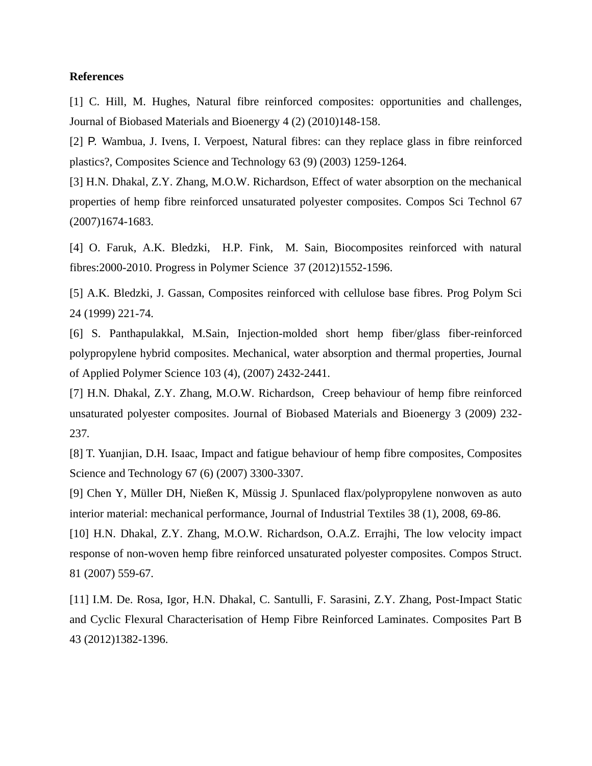#### **References**

[1] C. Hill, M. Hughes, Natural fibre reinforced composites: opportunities and challenges, Journal of Biobased Materials and Bioenergy 4 (2) (2010)148-158.

[2] P. Wambua, J. Ivens, I. Verpoest, Natural fibres: can they replace glass in fibre reinforced plastics?, Composites Science and Technology 63 (9) (2003) 1259-1264.

[3] H.N. Dhakal, Z.Y. Zhang, M.O.W. Richardson, Effect of water absorption on the mechanical properties of hemp fibre reinforced unsaturated polyester composites. Compos Sci Technol 67 (2007)1674-1683.

[4] O. Faruk, A.K. Bledzki, H.P. Fink, M. Sain, Biocomposites reinforced with natural fibres:2000-2010. Progress in Polymer Science 37 (2012)1552-1596.

[5] A.K. Bledzki, J. Gassan, Composites reinforced with cellulose base fibres. Prog Polym Sci 24 (1999) 221-74.

[6] S. Panthapulakkal, M.Sain, Injection-molded short hemp fiber/glass fiber-reinforced polypropylene hybrid composites. Mechanical, water absorption and thermal properties, Journal of Applied Polymer Science 103 (4), (2007) 2432-2441.

[7] H.N. Dhakal, Z.Y. Zhang, M.O.W. Richardson, Creep behaviour of hemp fibre reinforced unsaturated polyester composites. Journal of Biobased Materials and Bioenergy 3 (2009) 232- 237*.*

[8] T. Yuanjian, D.H. Isaac, Impact and fatigue behaviour of hemp fibre composites, Composites Science and Technology 67 (6) (2007) 3300-3307.

[9] Chen Y, Müller DH, Nießen K, Müssig J. Spunlaced flax/polypropylene nonwoven as auto interior material: mechanical performance, Journal of Industrial Textiles 38 (1), 2008, 69-86.

[10] H.N. Dhakal, Z.Y. Zhang, M.O.W. Richardson, O.A.Z. Errajhi, The low velocity impact response of non-woven hemp fibre reinforced unsaturated polyester composites. Compos Struct. 81 (2007) 559-67.

[11] I.M. De. Rosa, Igor, H.N. Dhakal, C. Santulli, F. Sarasini, Z.Y. Zhang, Post-Impact Static and Cyclic Flexural Characterisation of Hemp Fibre Reinforced Laminates. Composites Part B 43 (2012)1382-1396.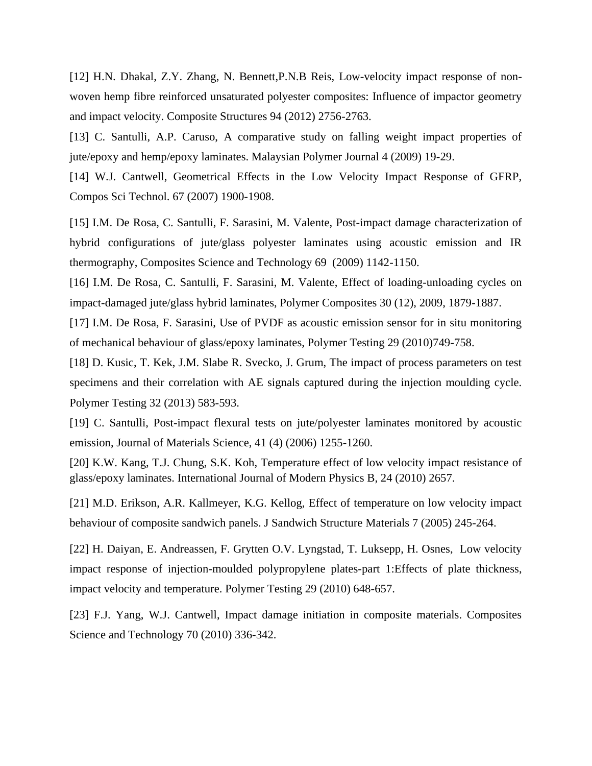[12] H.N. Dhakal, Z.Y. Zhang, N. Bennett,P.N.B Reis, Low-velocity impact response of nonwoven hemp fibre reinforced unsaturated polyester composites: Influence of impactor geometry and impact velocity. Composite Structures 94 (2012) 2756-2763.

[13] C. Santulli, A.P. Caruso, A comparative study on falling weight impact properties of jute/epoxy and hemp/epoxy laminates. Malaysian Polymer Journal 4 (2009) 19-29.

[14] W.J. Cantwell, Geometrical Effects in the Low Velocity Impact Response of GFRP, Compos Sci Technol. 67 (2007) 1900-1908.

[15] I.M. De Rosa, C. Santulli, F. Sarasini, M. Valente, Post-impact damage characterization of hybrid configurations of jute/glass polyester laminates using acoustic emission and IR thermography, Composites Science and Technology 69 (2009) 1142-1150.

[16] I.M. De Rosa, C. Santulli, F. Sarasini, M. Valente, Effect of loading-unloading cycles on impact-damaged jute/glass hybrid laminates, Polymer Composites 30 (12), 2009, 1879-1887.

[17] I.M. De Rosa, F. Sarasini, Use of PVDF as acoustic emission sensor for in situ monitoring of mechanical behaviour of glass/epoxy laminates, Polymer Testing 29 (2010)749-758.

[18] D. Kusic, T. Kek, J.M. Slabe R. Svecko, J. Grum, The impact of process parameters on test specimens and their correlation with AE signals captured during the injection moulding cycle. Polymer Testing 32 (2013) 583-593.

[19] C. Santulli, Post-impact flexural tests on jute/polyester laminates monitored by acoustic emission, Journal of Materials Science, 41 (4) (2006) 1255-1260.

[20] K.W. Kang, T.J. Chung, S.K. Koh, Temperature effect of low velocity impact resistance of glass/epoxy laminates. International Journal of Modern Physics B, 24 (2010) 2657.

[21] M.D. Erikson, A.R. Kallmeyer, K.G. Kellog, Effect of temperature on low velocity impact behaviour of composite sandwich panels. J Sandwich Structure Materials 7 (2005) 245-264.

[22] H. Daiyan, E. Andreassen, F. Grytten O.V. Lyngstad, T. Luksepp, H. Osnes, Low velocity impact response of injection-moulded polypropylene plates-part 1:Effects of plate thickness, impact velocity and temperature. Polymer Testing 29 (2010) 648-657.

[23] F.J. Yang, W.J. Cantwell, Impact damage initiation in composite materials. Composites Science and Technology 70 (2010) 336-342.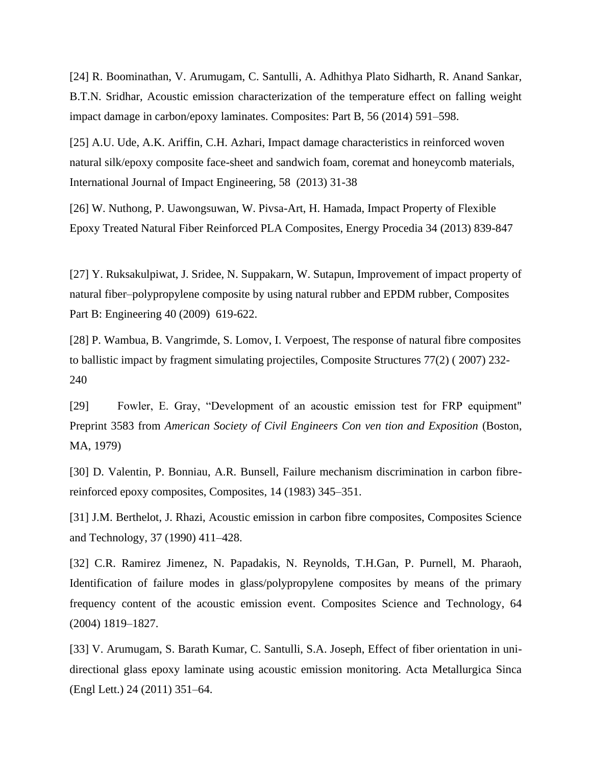[24] R. Boominathan, V. Arumugam, C. Santulli, A. Adhithya Plato Sidharth, R. Anand Sankar, B.T.N. Sridhar, Acoustic emission characterization of the temperature effect on falling weight impact damage in carbon/epoxy laminates. Composites: Part B, 56 (2014) 591–598.

[25] A.U. Ude, A.K. Ariffin, C.H. Azhari, Impact damage characteristics in reinforced woven natural silk/epoxy composite face-sheet and sandwich foam, coremat and honeycomb materials, International Journal of Impact Engineering, 58 (2013) 31-38

[26] W. Nuthong, P. Uawongsuwan, W. Pivsa-Art, H. Hamada, Impact Property of Flexible Epoxy Treated Natural Fiber Reinforced PLA Composites, Energy Procedia 34 (2013) 839-847

[27] Y. Ruksakulpiwat, J. Sridee, N. Suppakarn, W. Sutapun, Improvement of impact property of natural fiber–polypropylene composite by using natural rubber and EPDM rubber, Composites Part B: Engineering 40 (2009) 619-622.

[28] P. Wambua, B. Vangrimde, S. Lomov, I. Verpoest, The response of natural fibre composites to ballistic impact by fragment simulating projectiles, Composite Structures 77(2) ( 2007) 232- 240

[29] Fowler, E. Gray, "Development of an acoustic emission test for FRP equipment" Preprint 3583 from *American Society of Civil Engineers Con ven tion and Exposition* (Boston, MA, 1979)

[30] D. Valentin, P. Bonniau, A.R. Bunsell, Failure mechanism discrimination in carbon fibrereinforced epoxy composites, Composites, 14 (1983) 345–351.

[31] J.M. Berthelot, J. Rhazi, Acoustic emission in carbon fibre composites, Composites Science and Technology, 37 (1990) 411–428.

[32] C.R. Ramirez Jimenez, N. Papadakis, N. Reynolds, T.H.Gan, P. Purnell, M. Pharaoh, Identification of failure modes in glass/polypropylene composites by means of the primary frequency content of the acoustic emission event. Composites Science and Technology, 64 (2004) 1819–1827.

[33] V. Arumugam, S. Barath Kumar, C. Santulli, S.A. Joseph, Effect of fiber orientation in unidirectional glass epoxy laminate using acoustic emission monitoring. Acta Metallurgica Sinca (Engl Lett.) 24 (2011) 351–64.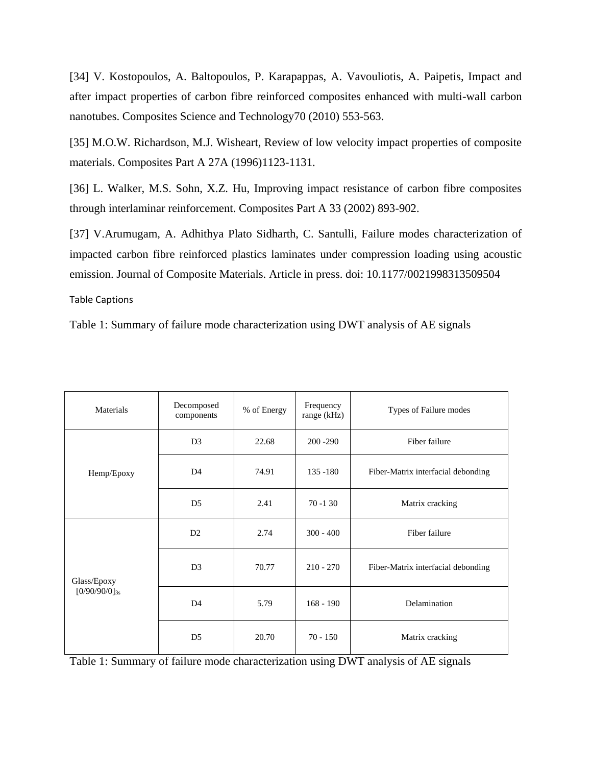[34] V. Kostopoulos, A. Baltopoulos, P. Karapappas, A. Vavouliotis, A. Paipetis, Impact and after impact properties of carbon fibre reinforced composites enhanced with multi-wall carbon nanotubes. Composites Science and Technology70 (2010) 553-563.

[35] M.O.W. Richardson, M.J. Wisheart, Review of low velocity impact properties of composite materials. Composites Part A 27A (1996)1123-1131.

[36] L. Walker, M.S. Sohn, X.Z. Hu, Improving impact resistance of carbon fibre composites through interlaminar reinforcement. Composites Part A 33 (2002) 893-902.

[37] V.Arumugam, A. Adhithya Plato Sidharth, C. Santulli, Failure modes characterization of impacted carbon fibre reinforced plastics laminates under compression loading using acoustic emission. Journal of Composite Materials. Article in press. doi: 10.1177/0021998313509504

Table Captions

Table 1: Summary of failure mode characterization using DWT analysis of AE signals

| Materials                         | Decomposed<br>components | % of Energy | Frequency<br>range (kHz) | Types of Failure modes             |
|-----------------------------------|--------------------------|-------------|--------------------------|------------------------------------|
| Hemp/Epoxy                        | D <sub>3</sub>           | 22.68       | $200 - 290$              | Fiber failure                      |
|                                   | D <sub>4</sub>           | 74.91       | $135 - 180$              | Fiber-Matrix interfacial debonding |
|                                   | D <sub>5</sub>           | 2.41        | $70 - 130$               | Matrix cracking                    |
| Glass/Epoxy<br>$[0/90/90/0]_{3s}$ | D2                       | 2.74        | $300 - 400$              | Fiber failure                      |
|                                   | D <sub>3</sub>           | 70.77       | $210 - 270$              | Fiber-Matrix interfacial debonding |
|                                   | D <sub>4</sub>           | 5.79        | $168 - 190$              | Delamination                       |
|                                   | D <sub>5</sub>           | 20.70       | $70 - 150$               | Matrix cracking                    |

Table 1: Summary of failure mode characterization using DWT analysis of AE signals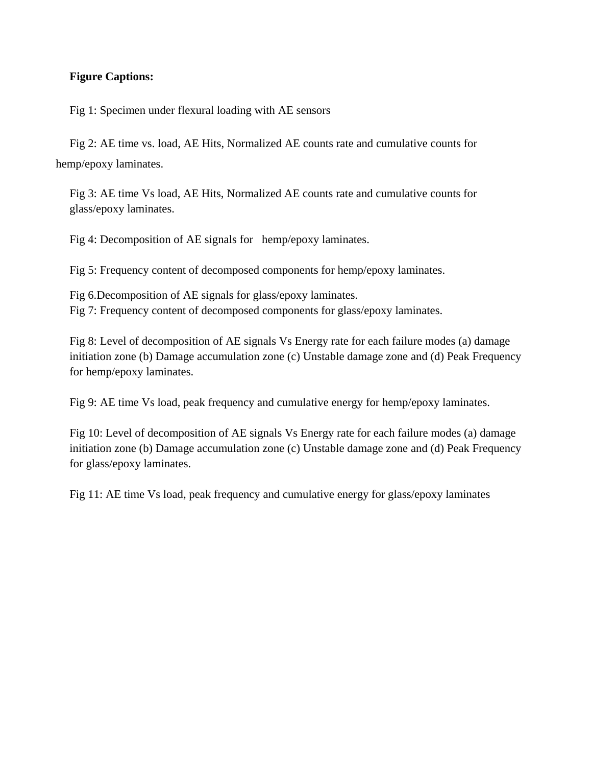# **Figure Captions:**

Fig 1: Specimen under flexural loading with AE sensors

Fig 2: AE time vs. load, AE Hits, Normalized AE counts rate and cumulative counts for hemp/epoxy laminates.

Fig 3: AE time Vs load, AE Hits, Normalized AE counts rate and cumulative counts for glass/epoxy laminates.

Fig 4: Decomposition of AE signals for hemp/epoxy laminates.

Fig 5: Frequency content of decomposed components for hemp/epoxy laminates.

Fig 6.Decomposition of AE signals for glass/epoxy laminates. Fig 7: Frequency content of decomposed components for glass/epoxy laminates.

Fig 8: Level of decomposition of AE signals Vs Energy rate for each failure modes (a) damage initiation zone (b) Damage accumulation zone (c) Unstable damage zone and (d) Peak Frequency for hemp/epoxy laminates.

Fig 9: AE time Vs load, peak frequency and cumulative energy for hemp/epoxy laminates.

Fig 10: Level of decomposition of AE signals Vs Energy rate for each failure modes (a) damage initiation zone (b) Damage accumulation zone (c) Unstable damage zone and (d) Peak Frequency for glass/epoxy laminates.

Fig 11: AE time Vs load, peak frequency and cumulative energy for glass/epoxy laminates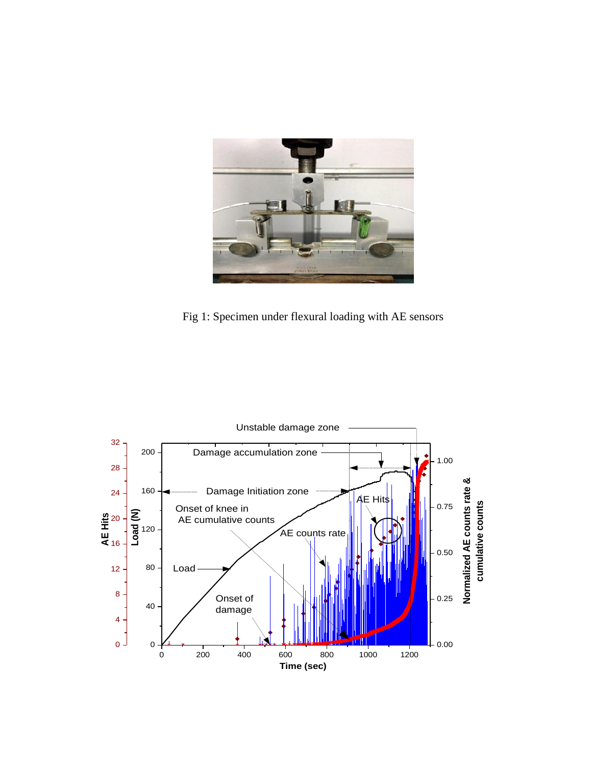

Fig 1: Specimen under flexural loading with AE sensors

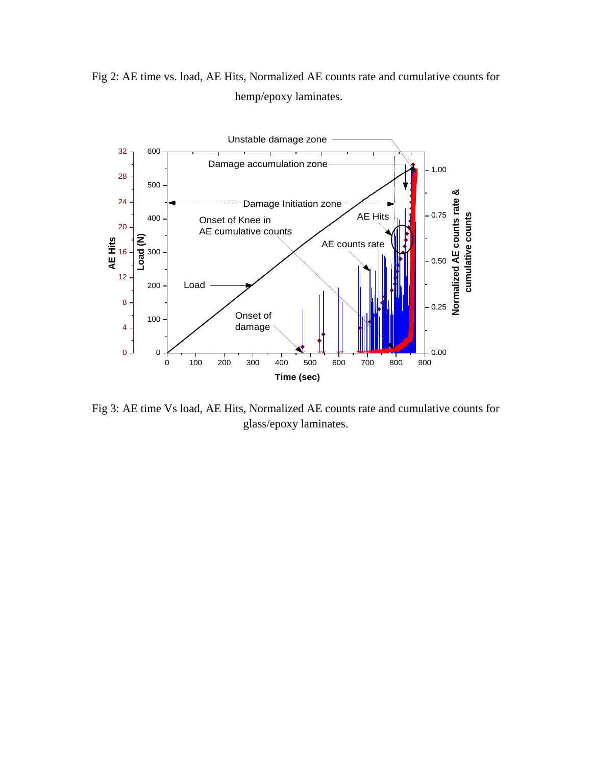Fig 2: AE time vs. load, AE Hits, Normalized AE counts rate and cumulative counts for hemp/epoxy laminates.



Fig 3: AE time Vs load, AE Hits, Normalized AE counts rate and cumulative counts for glass/epoxy laminates.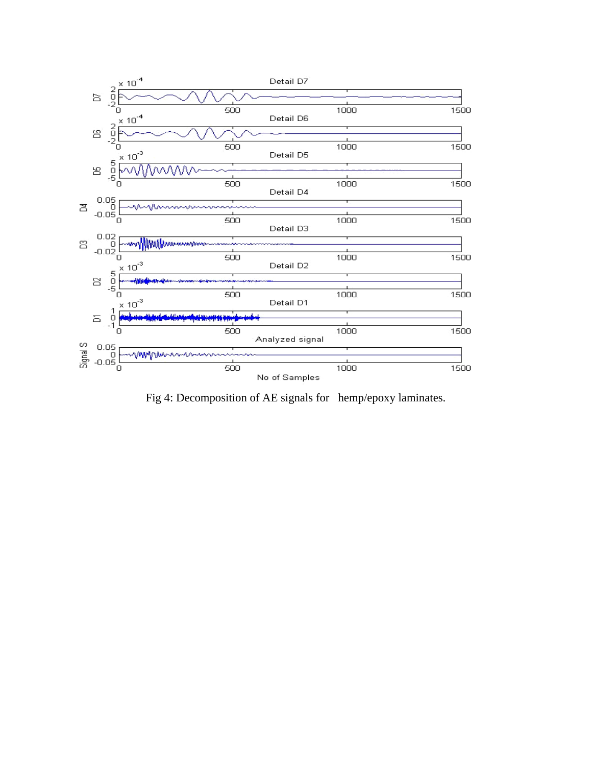

Fig 4: Decomposition of AE signals for hemp/epoxy laminates.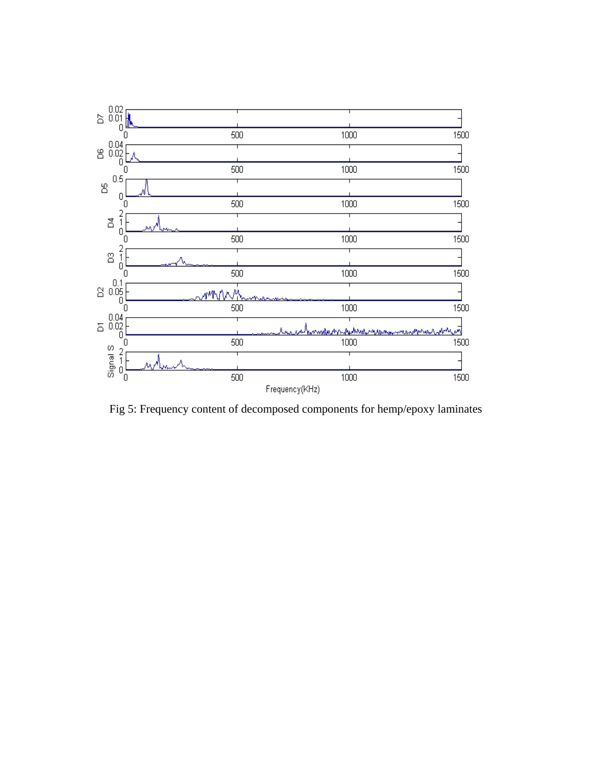

Fig 5: Frequency content of decomposed components for hemp/epoxy laminates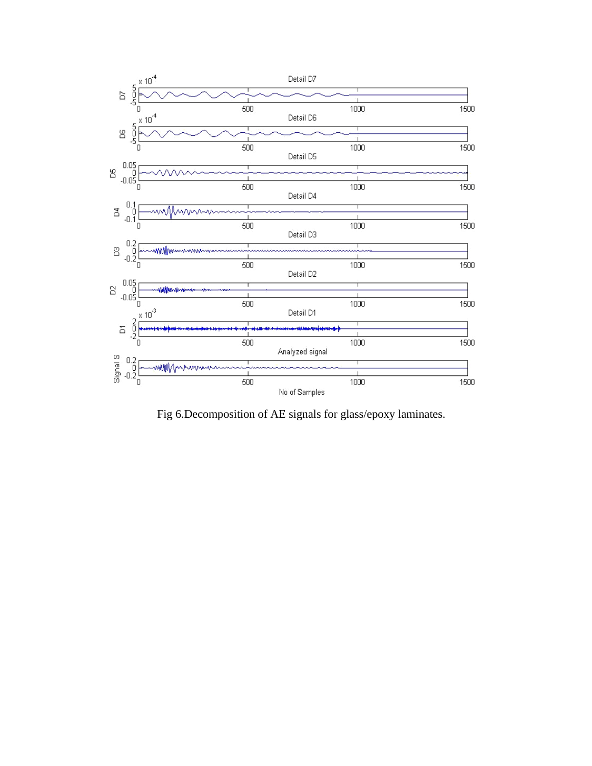

Fig 6.Decomposition of AE signals for glass/epoxy laminates.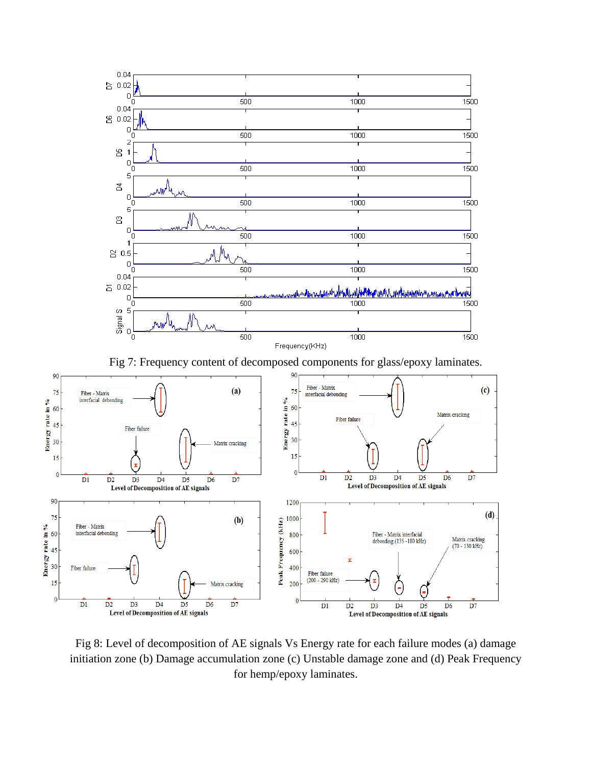

Fig 7: Frequency content of decomposed components for glass/epoxy laminates.



Fig 8: Level of decomposition of AE signals Vs Energy rate for each failure modes (a) damage initiation zone (b) Damage accumulation zone (c) Unstable damage zone and (d) Peak Frequency for hemp/epoxy laminates.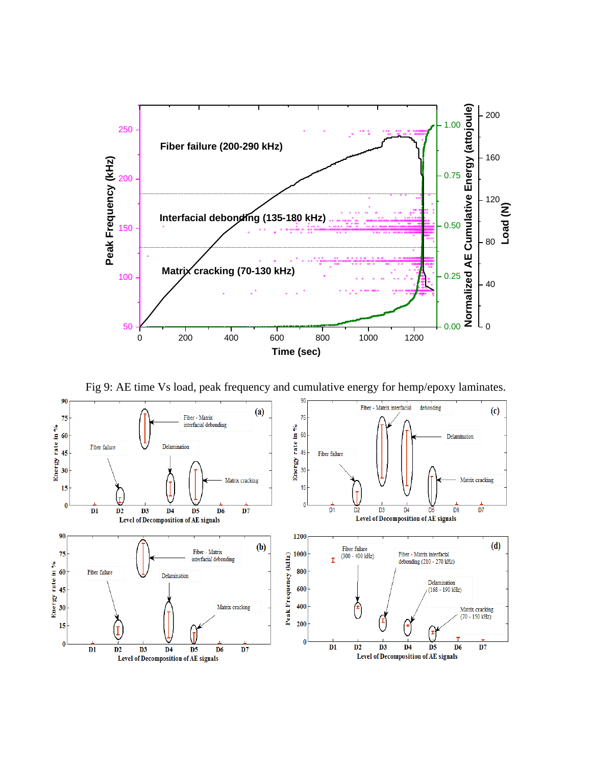

Fig 9: AE time Vs load, peak frequency and cumulative energy for hemp/epoxy laminates.